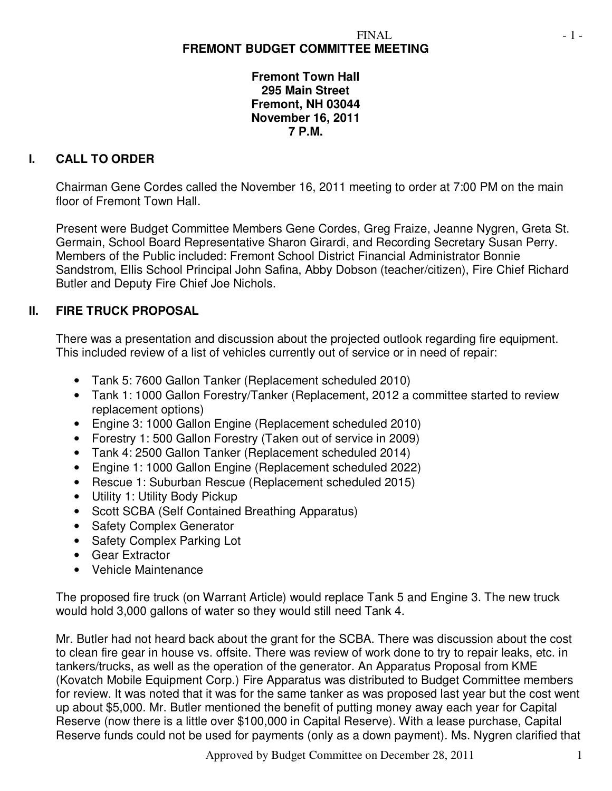# **FREMONT BUDGET COMMITTEE MEETING**

**Fremont Town Hall 295 Main Street Fremont, NH 03044 November 16, 2011 7 P.M.** 

### **I. CALL TO ORDER**

Chairman Gene Cordes called the November 16, 2011 meeting to order at 7:00 PM on the main floor of Fremont Town Hall.

Present were Budget Committee Members Gene Cordes, Greg Fraize, Jeanne Nygren, Greta St. Germain, School Board Representative Sharon Girardi, and Recording Secretary Susan Perry. Members of the Public included: Fremont School District Financial Administrator Bonnie Sandstrom, Ellis School Principal John Safina, Abby Dobson (teacher/citizen), Fire Chief Richard Butler and Deputy Fire Chief Joe Nichols.

## **II. FIRE TRUCK PROPOSAL**

There was a presentation and discussion about the projected outlook regarding fire equipment. This included review of a list of vehicles currently out of service or in need of repair:

- Tank 5: 7600 Gallon Tanker (Replacement scheduled 2010)
- Tank 1: 1000 Gallon Forestry/Tanker (Replacement, 2012 a committee started to review replacement options)
- Engine 3: 1000 Gallon Engine (Replacement scheduled 2010)
- Forestry 1: 500 Gallon Forestry (Taken out of service in 2009)
- Tank 4: 2500 Gallon Tanker (Replacement scheduled 2014)
- Engine 1: 1000 Gallon Engine (Replacement scheduled 2022)
- Rescue 1: Suburban Rescue (Replacement scheduled 2015)
- Utility 1: Utility Body Pickup
- Scott SCBA (Self Contained Breathing Apparatus)
- Safety Complex Generator
- Safety Complex Parking Lot
- Gear Extractor
- Vehicle Maintenance

The proposed fire truck (on Warrant Article) would replace Tank 5 and Engine 3. The new truck would hold 3,000 gallons of water so they would still need Tank 4.

Mr. Butler had not heard back about the grant for the SCBA. There was discussion about the cost to clean fire gear in house vs. offsite. There was review of work done to try to repair leaks, etc. in tankers/trucks, as well as the operation of the generator. An Apparatus Proposal from KME (Kovatch Mobile Equipment Corp.) Fire Apparatus was distributed to Budget Committee members for review. It was noted that it was for the same tanker as was proposed last year but the cost went up about \$5,000. Mr. Butler mentioned the benefit of putting money away each year for Capital Reserve (now there is a little over \$100,000 in Capital Reserve). With a lease purchase, Capital Reserve funds could not be used for payments (only as a down payment). Ms. Nygren clarified that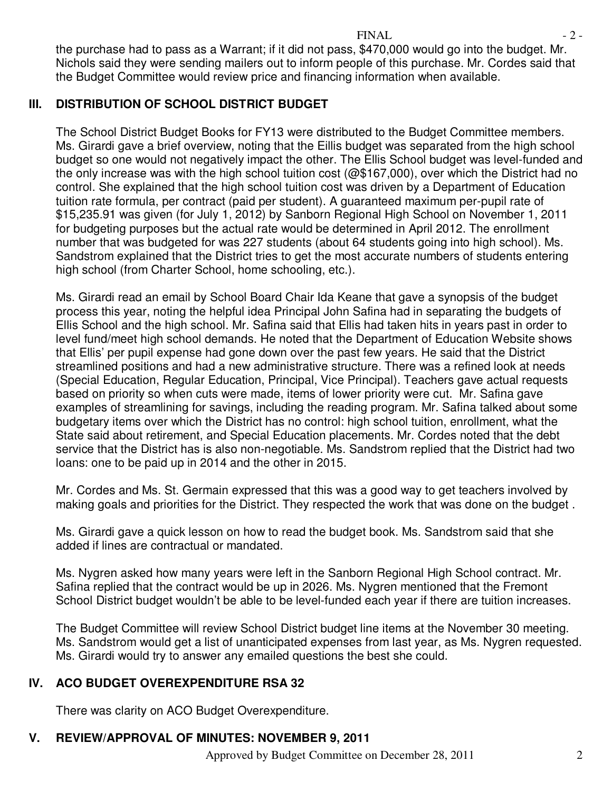the purchase had to pass as a Warrant; if it did not pass, \$470,000 would go into the budget. Mr. Nichols said they were sending mailers out to inform people of this purchase. Mr. Cordes said that the Budget Committee would review price and financing information when available.

# **III. DISTRIBUTION OF SCHOOL DISTRICT BUDGET**

The School District Budget Books for FY13 were distributed to the Budget Committee members. Ms. Girardi gave a brief overview, noting that the Eillis budget was separated from the high school budget so one would not negatively impact the other. The Ellis School budget was level-funded and the only increase was with the high school tuition cost (@\$167,000), over which the District had no control. She explained that the high school tuition cost was driven by a Department of Education tuition rate formula, per contract (paid per student). A guaranteed maximum per-pupil rate of \$15,235.91 was given (for July 1, 2012) by Sanborn Regional High School on November 1, 2011 for budgeting purposes but the actual rate would be determined in April 2012. The enrollment number that was budgeted for was 227 students (about 64 students going into high school). Ms. Sandstrom explained that the District tries to get the most accurate numbers of students entering high school (from Charter School, home schooling, etc.).

Ms. Girardi read an email by School Board Chair Ida Keane that gave a synopsis of the budget process this year, noting the helpful idea Principal John Safina had in separating the budgets of Ellis School and the high school. Mr. Safina said that Ellis had taken hits in years past in order to level fund/meet high school demands. He noted that the Department of Education Website shows that Ellis' per pupil expense had gone down over the past few years. He said that the District streamlined positions and had a new administrative structure. There was a refined look at needs (Special Education, Regular Education, Principal, Vice Principal). Teachers gave actual requests based on priority so when cuts were made, items of lower priority were cut. Mr. Safina gave examples of streamlining for savings, including the reading program. Mr. Safina talked about some budgetary items over which the District has no control: high school tuition, enrollment, what the State said about retirement, and Special Education placements. Mr. Cordes noted that the debt service that the District has is also non-negotiable. Ms. Sandstrom replied that the District had two loans: one to be paid up in 2014 and the other in 2015.

Mr. Cordes and Ms. St. Germain expressed that this was a good way to get teachers involved by making goals and priorities for the District. They respected the work that was done on the budget .

Ms. Girardi gave a quick lesson on how to read the budget book. Ms. Sandstrom said that she added if lines are contractual or mandated.

Ms. Nygren asked how many years were left in the Sanborn Regional High School contract. Mr. Safina replied that the contract would be up in 2026. Ms. Nygren mentioned that the Fremont School District budget wouldn't be able to be level-funded each year if there are tuition increases.

The Budget Committee will review School District budget line items at the November 30 meeting. Ms. Sandstrom would get a list of unanticipated expenses from last year, as Ms. Nygren requested. Ms. Girardi would try to answer any emailed questions the best she could.

### **IV. ACO BUDGET OVEREXPENDITURE RSA 32**

There was clarity on ACO Budget Overexpenditure.

# **V. REVIEW/APPROVAL OF MINUTES: NOVEMBER 9, 2011**